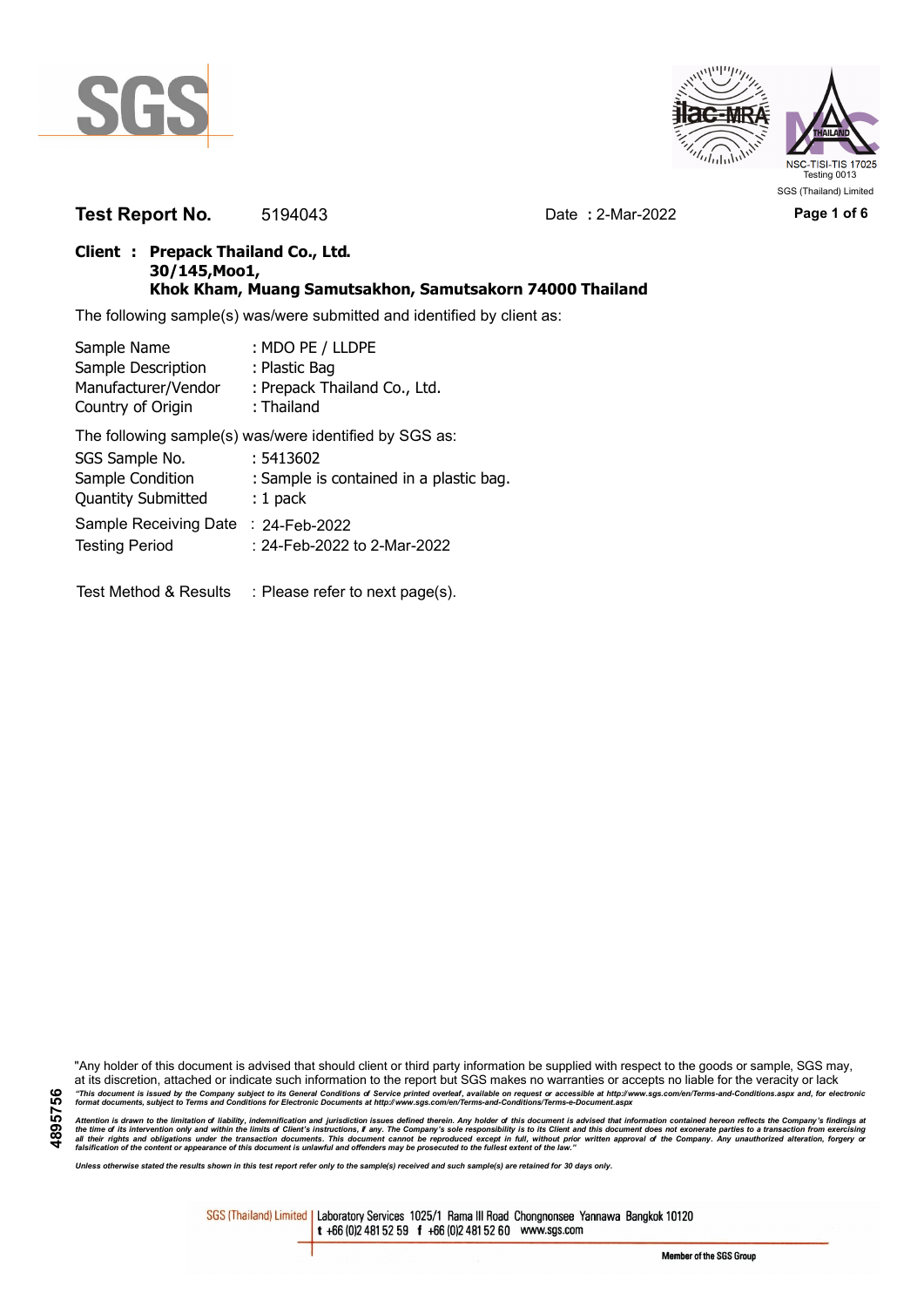



**Test Report No.** 5194043 Date **:** 2-Mar-2022 **Page 1 of 6**

### **Client : Prepack Thailand Co., Ltd. 30/145,Moo1, Khok Kham, Muang Samutsakhon, Samutsakorn 74000 Thailand**

The following sample(s) was/were submitted and identified by client as:

| Sample Name               | : MDO PE / LLDPE                                       |
|---------------------------|--------------------------------------------------------|
| Sample Description        | : Plastic Bag                                          |
| Manufacturer/Vendor       | : Prepack Thailand Co., Ltd.                           |
| Country of Origin         | : Thailand                                             |
|                           | The following sample(s) was/were identified by SGS as: |
| SGS Sample No.            | : 5413602                                              |
| Sample Condition          | : Sample is contained in a plastic bag.                |
| <b>Quantity Submitted</b> | $: 1$ pack                                             |
| Sample Receiving Date     | $: 24$ -Feb-2022                                       |

Testing Period 24-Feb-2022 to 2-Mar-2022

Test Method & Results : Please refer to next page(s).

"Any holder of this document is advised that should client or third party information be supplied with respect to the goods or sample, SGS may, at its discretion, attached or indicate such information to the report but SGS makes no warranties or accepts no liable for the veracity or lack "This document is issued by the Company subject to its General Conditions of Service printed overleaf, available on request or accessible at http://www.sgs.com/en/Terms-and-Conditions.aspx and, for electronic<br>format docume

Attention is drawn to the limitation of liability, indemnification and jurisdiction issues defined therein. Any holder of this document is advised that information contained hereon reflects the Company's findings at<br>all th

*Unless otherwise stated the results shown in this test report refer only to the sample(s) received and such sample(s) are retained for 30 days only.*

SGS (Thailand) Limited | Laboratory Services 1025/1 Rama III Road Chongnonsee Yannawa Bangkok 10120 t +66 (0)2 481 52 59 f +66 (0)2 481 52 60 www.sgs.com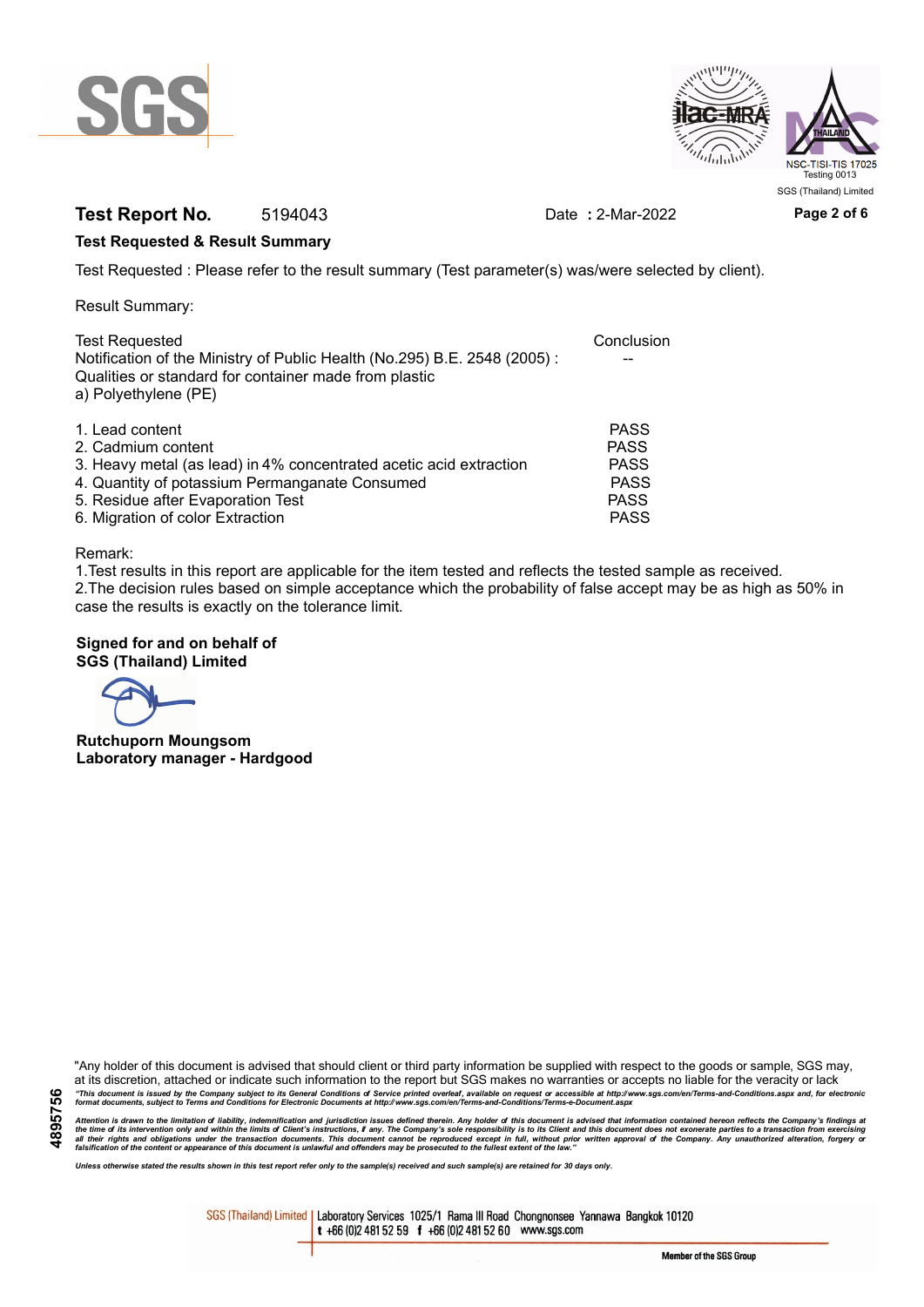



# **Test Report No.** 5194043 Date **:** 2-Mar-2022 **Page 2 of 6**

### **Test Requested & Result Summary**

Test Requested : Please refer to the result summary (Test parameter(s) was/were selected by client).

Result Summary:

| <b>Test Requested</b>                                                                                                                                     | Conclusion  |
|-----------------------------------------------------------------------------------------------------------------------------------------------------------|-------------|
| Notification of the Ministry of Public Health (No.295) B.E. 2548 (2005):<br>Qualities or standard for container made from plastic<br>a) Polyethylene (PE) |             |
|                                                                                                                                                           |             |
| 1. Lead content                                                                                                                                           | <b>PASS</b> |
| 2. Cadmium content                                                                                                                                        | <b>PASS</b> |
| 3. Heavy metal (as lead) in 4% concentrated acetic acid extraction                                                                                        | <b>PASS</b> |
| 4. Quantity of potassium Permanganate Consumed                                                                                                            | <b>PASS</b> |
| 5. Residue after Evaporation Test                                                                                                                         | <b>PASS</b> |
| 6. Migration of color Extraction                                                                                                                          | <b>PASS</b> |

#### Remark:

1.Test results in this report are applicable for the item tested and reflects the tested sample as received. 2.The decision rules based on simple acceptance which the probability of false accept may be as high as 50% in case the results is exactly on the tolerance limit.

### **Signed for and on behalf of SGS (Thailand) Limited**

**Rutchuporn Moungsom Laboratory manager - Hardgood**

"Any holder of this document is advised that should client or third party information be supplied with respect to the goods or sample, SGS may, at its discretion, attached or indicate such information to the report but SGS makes no warranties or accepts no liable for the veracity or lack "This document is issued by the Company subject to its General Conditions of Service printed overleaf, available on request or accessible at http://www.sgs.com/en/Terms-and-Conditions.aspx and, for electronic<br>format docume

Attention is drawn to the limitation of liability, indemnification and jurisdiction issues defined therein. Any holder of this document is advised that information contained hereon reflects the Company's findings at<br>all th

*Unless otherwise stated the results shown in this test report refer only to the sample(s) received and such sample(s) are retained for 30 days only.*

SGS (Thailand) Limited | Laboratory Services 1025/1 Rama III Road Chongnonsee Yannawa Bangkok 10120 t +66 (0)2 481 52 59 f +66 (0)2 481 52 60 www.sgs.com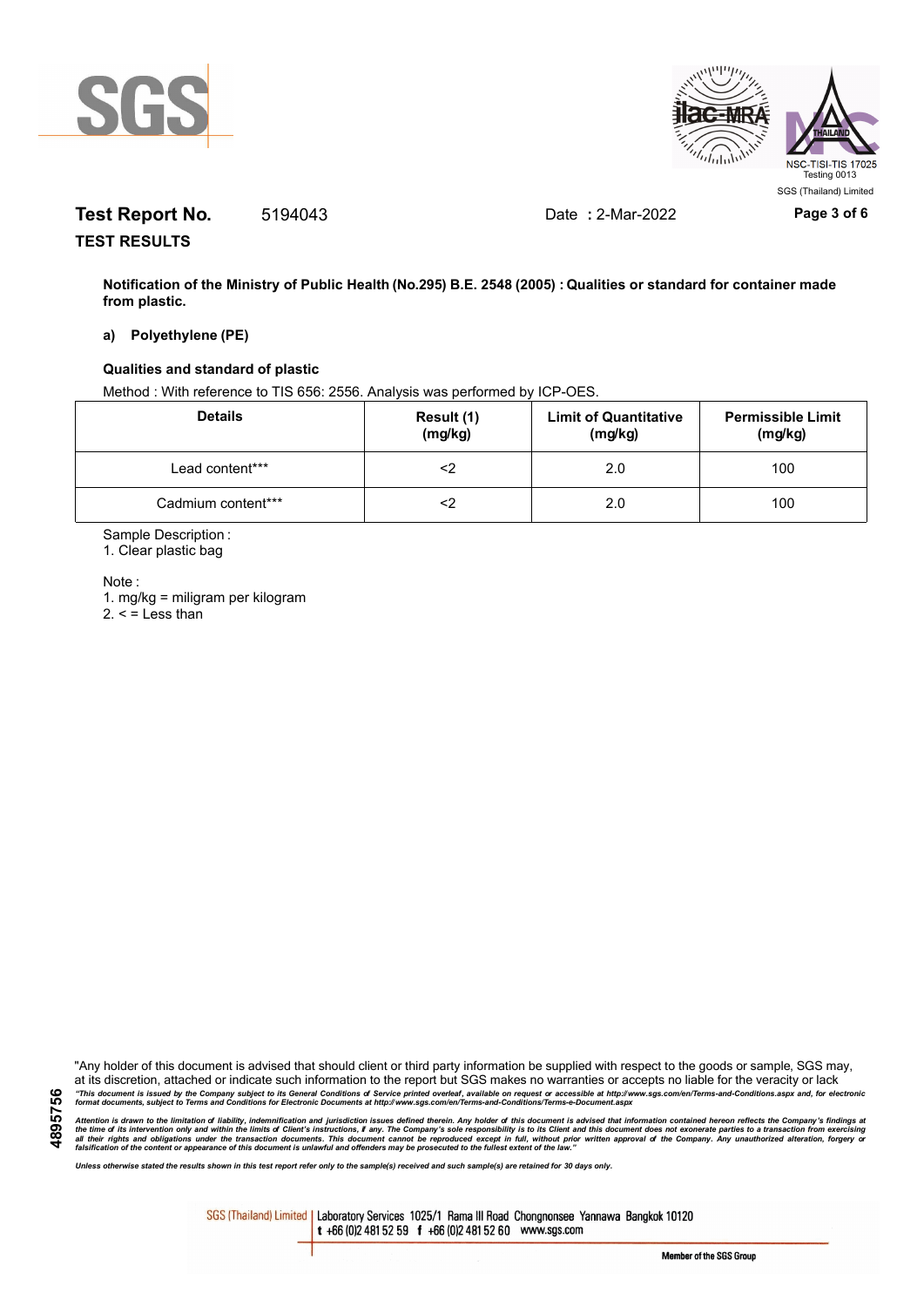



# **Test Report No.** 5194043 Date **:** 2-Mar-2022 **Page 3 of 6**

**TEST RESULTS**

**Notification of the Ministry of Public Health (No.295) B.E. 2548 (2005) : Qualities or standard for container made from plastic.**

#### **a) Polyethylene (PE)**

### **Qualities and standard of plastic**

Method : With reference to TIS 656: 2556. Analysis was performed by ICP-OES.

| <b>Details</b>     | Result (1)<br>(mg/kg) | <b>Limit of Quantitative</b><br>(mg/kg) | <b>Permissible Limit</b><br>(mg/kg) |
|--------------------|-----------------------|-----------------------------------------|-------------------------------------|
| Lead content***    |                       | 2.0                                     | 100                                 |
| Cadmium content*** |                       | 2.0                                     | 100                                 |

Sample Description :

1. Clear plastic bag

Note :

1. mg/kg = miligram per kilogram  $2. <$  = Less than

"Any holder of this document is advised that should client or third party information be supplied with respect to the goods or sample, SGS may, at its discretion, attached or indicate such information to the report but SGS makes no warranties or accepts no liable for the veracity or lack "This document is issued by the Company subject to its General Conditions of Service printed overleaf, available on request or accessible at http://www.sgs.com/en/Terms-and-Conditions.aspx and, for electronic<br>format docume

Attention is drawn to the limitation of liability, indemnification and jurisdiction issues defined therein. Any holder of this document is advised that information contained hereon reflects the Company's findings at<br>all th

*Unless otherwise stated the results shown in this test report refer only to the sample(s) received and such sample(s) are retained for 30 days only.*

SGS (Thailand) Limited | Laboratory Services 1025/1 Rama III Road Chongnonsee Yannawa Bangkok 10120 t +66 (0)2 481 52 59 f +66 (0)2 481 52 60 www.sgs.com

**4895756**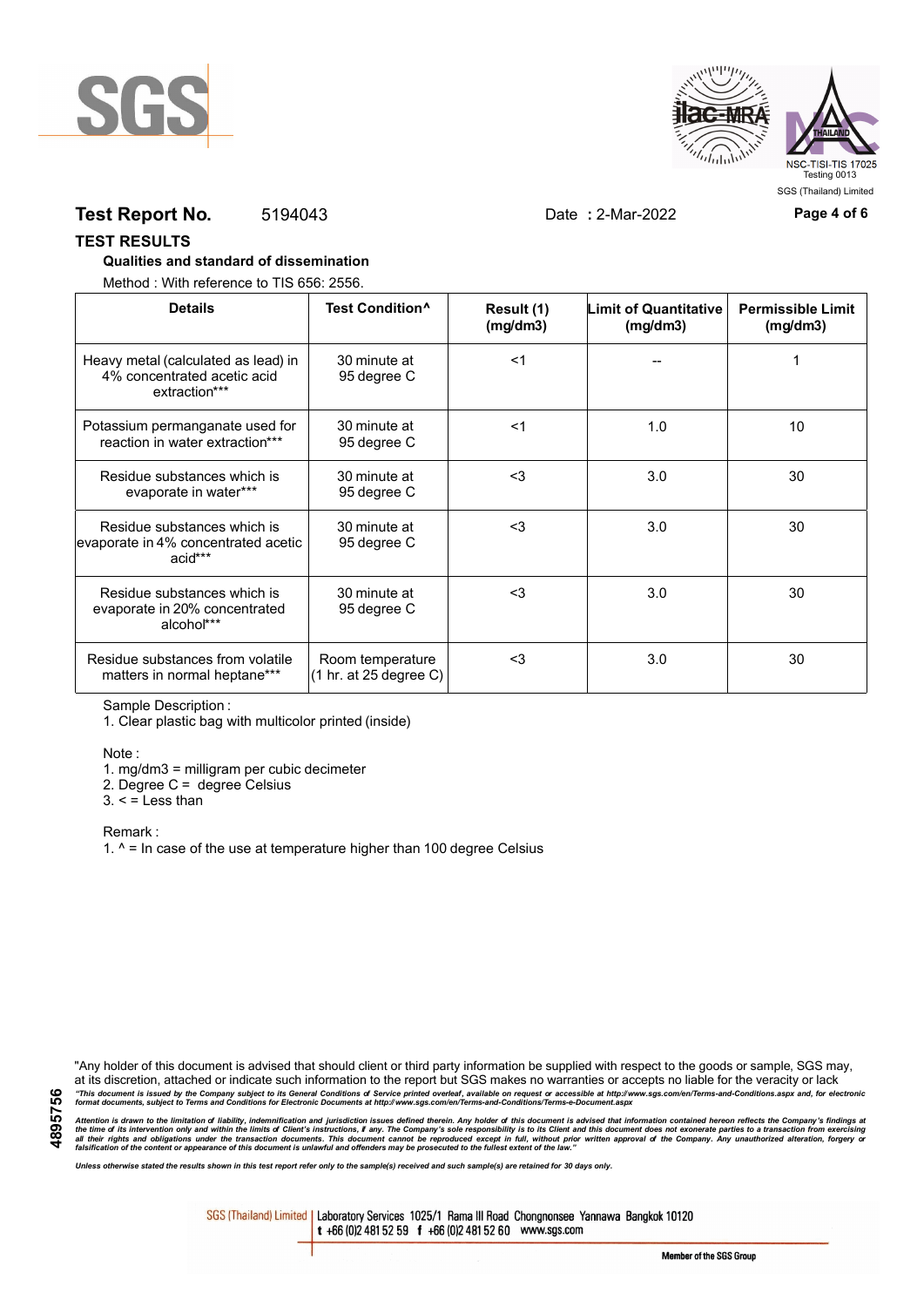



## **Test Report No.** 5194043 Date **:** 2-Mar-2022 **Page 4 of 6**

### **TEST RESULTS**

### **Qualities and standard of dissemination**

Method : With reference to TIS 656: 2556.

| <b>Details</b>                                                                      | Test Condition <sup>^</sup>                | Result (1)<br>(mg/dm3) | <b>Limit of Quantitative</b><br>(mg/dm3) | <b>Permissible Limit</b><br>(mg/dm3) |
|-------------------------------------------------------------------------------------|--------------------------------------------|------------------------|------------------------------------------|--------------------------------------|
| Heavy metal (calculated as lead) in<br>4% concentrated acetic acid<br>extraction*** | 30 minute at<br>95 degree C                | $<$ 1                  |                                          |                                      |
| Potassium permanganate used for<br>reaction in water extraction***                  | 30 minute at<br>95 degree C                | $<$ 1                  | 1.0                                      | 10                                   |
| Residue substances which is<br>evaporate in water***                                | 30 minute at<br>95 degree C                | $3$                    | 3.0                                      | 30                                   |
| Residue substances which is<br>evaporate in 4% concentrated acetic<br>acid***       | 30 minute at<br>95 degree C                | <3                     | 3.0                                      | 30                                   |
| Residue substances which is<br>evaporate in 20% concentrated<br>alcohol***          | 30 minute at<br>95 degree C                | $3$                    | 3.0                                      | 30                                   |
| Residue substances from volatile<br>matters in normal heptane***                    | Room temperature<br>(1 hr. at 25 degree C) | $3$                    | 3.0                                      | 30                                   |

Sample Description :

1. Clear plastic bag with multicolor printed (inside)

Note :

1. mg/dm3 = milligram per cubic decimeter

2. Degree C = degree Celsius

 $3. <$  = Less than

Remark :

1.  $^{\circ}$  = In case of the use at temperature higher than 100 degree Celsius

"Any holder of this document is advised that should client or third party information be supplied with respect to the goods or sample, SGS may, at its discretion, attached or indicate such information to the report but SGS makes no warranties or accepts no liable for the veracity or lack "This document is issued by the Company subject to its General Conditions of Service printed overleaf, available on request or accessible at http://www.sgs.com/en/Terms-and-Conditions.aspx and, for electronic<br>format docume

Attention is drawn to the limitation of liability, indemnification and jurisdiction issues defined therein. Any holder of this document is advised that information contained hereon reflects the Company's findings at<br>all th

*Unless otherwise stated the results shown in this test report refer only to the sample(s) received and such sample(s) are retained for 30 days only.*

SGS (Thailand) Limited | Laboratory Services 1025/1 Rama III Road Chongnonsee Yannawa Bangkok 10120 t +66 (0)2 481 52 59 f +66 (0)2 481 52 60 www.sgs.com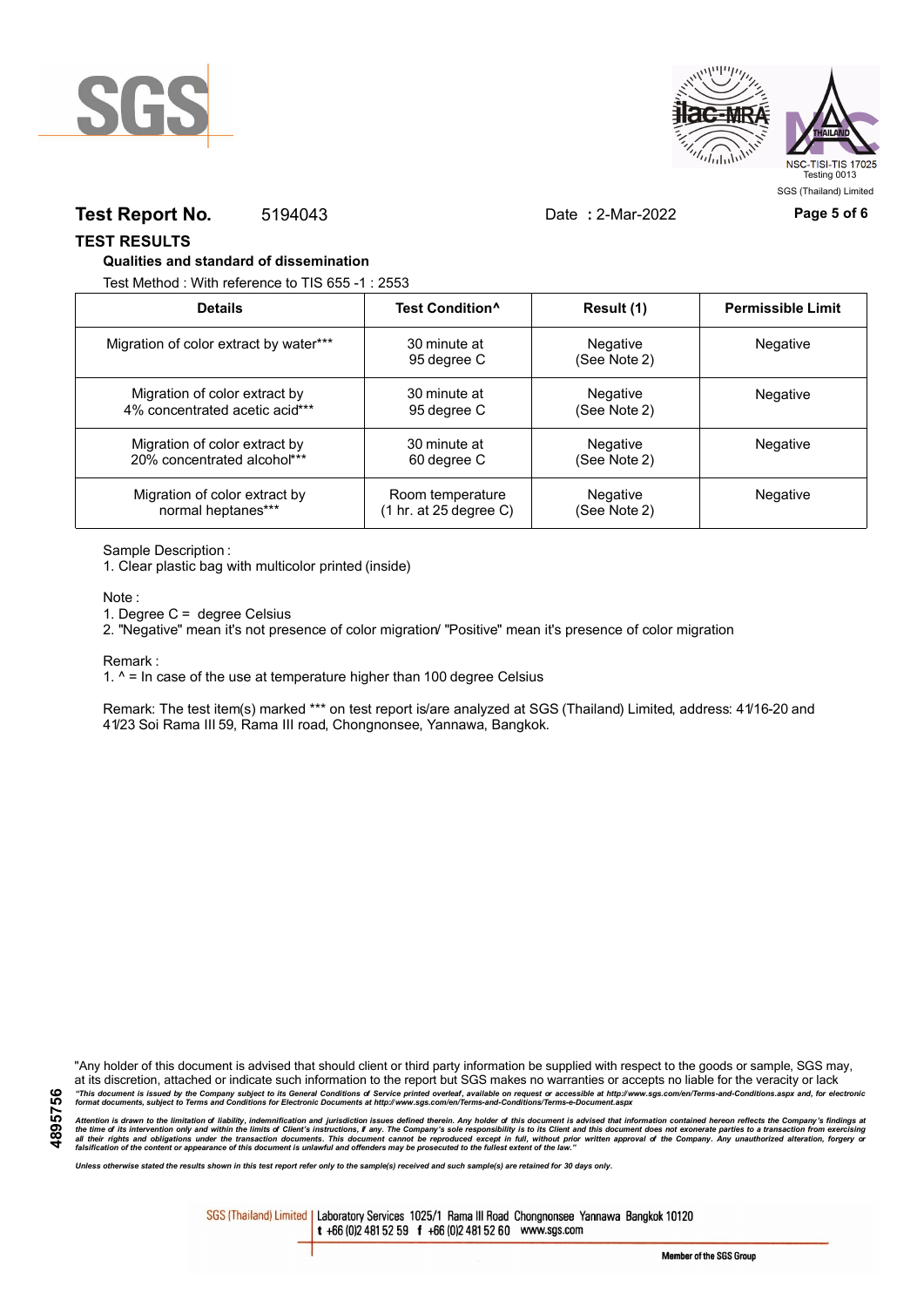



### **Test Report No.** 5194043 Date **:** 2-Mar-2022 **Page 5 of 6**

### **TEST RESULTS**

### **Qualities and standard of dissemination**

Test Method : With reference to TIS 655 -1 : 2553

| <b>Details</b>                         | Test Condition <sup>^</sup> | Result (1)               | <b>Permissible Limit</b> |
|----------------------------------------|-----------------------------|--------------------------|--------------------------|
| Migration of color extract by water*** | 30 minute at<br>95 degree C | Negative<br>(See Note 2) | Negative                 |
| Migration of color extract by          | 30 minute at                | Negative                 | <b>Negative</b>          |
| 4% concentrated acetic acid***         | 95 degree C                 | (See Note 2)             |                          |
| Migration of color extract by          | 30 minute at                | Negative                 | Negative                 |
| 20% concentrated alcohol***            | 60 degree C                 | (See Note 2)             |                          |
| Migration of color extract by          | Room temperature            | <b>Negative</b>          | Negative                 |
| normal heptanes***                     | (1 hr. at 25 degree C)      | (See Note 2)             |                          |

Sample Description :

1. Clear plastic bag with multicolor printed (inside)

Note :

1. Degree C = degree Celsius

2. "Negative" mean it's not presence of color migration/ "Positive" mean it's presence of color migration

Remark :

1.  $^{\circ}$  = In case of the use at temperature higher than 100 degree Celsius

Remark: The test item(s) marked \*\*\* on test report is/are analyzed at SGS (Thailand) Limited, address: 41/16-20 and 41/23 Soi Rama III 59, Rama III road, Chongnonsee, Yannawa, Bangkok.

**4895756**

"Any holder of this document is advised that should client or third party information be supplied with respect to the goods or sample, SGS may, at its discretion, attached or indicate such information to the report but SGS makes no warranties or accepts no liable for the veracity or lack "This document is issued by the Company subject to its General Conditions of Service printed overleaf, available on request or accessible at http://www.sgs.com/en/Terms-and-Conditions.aspx and, for electronic<br>format docume

Attention is drawn to the limitation of liability, indemnification and jurisdiction issues defined therein. Any holder of this document is advised that information contained hereon reflects the Company's findings at<br>all th

*Unless otherwise stated the results shown in this test report refer only to the sample(s) received and such sample(s) are retained for 30 days only.*

SGS (Thailand) Limited | Laboratory Services 1025/1 Rama III Road Chongnonsee Yannawa Bangkok 10120 t +66 (0)2 481 52 59 f +66 (0)2 481 52 60 www.sgs.com